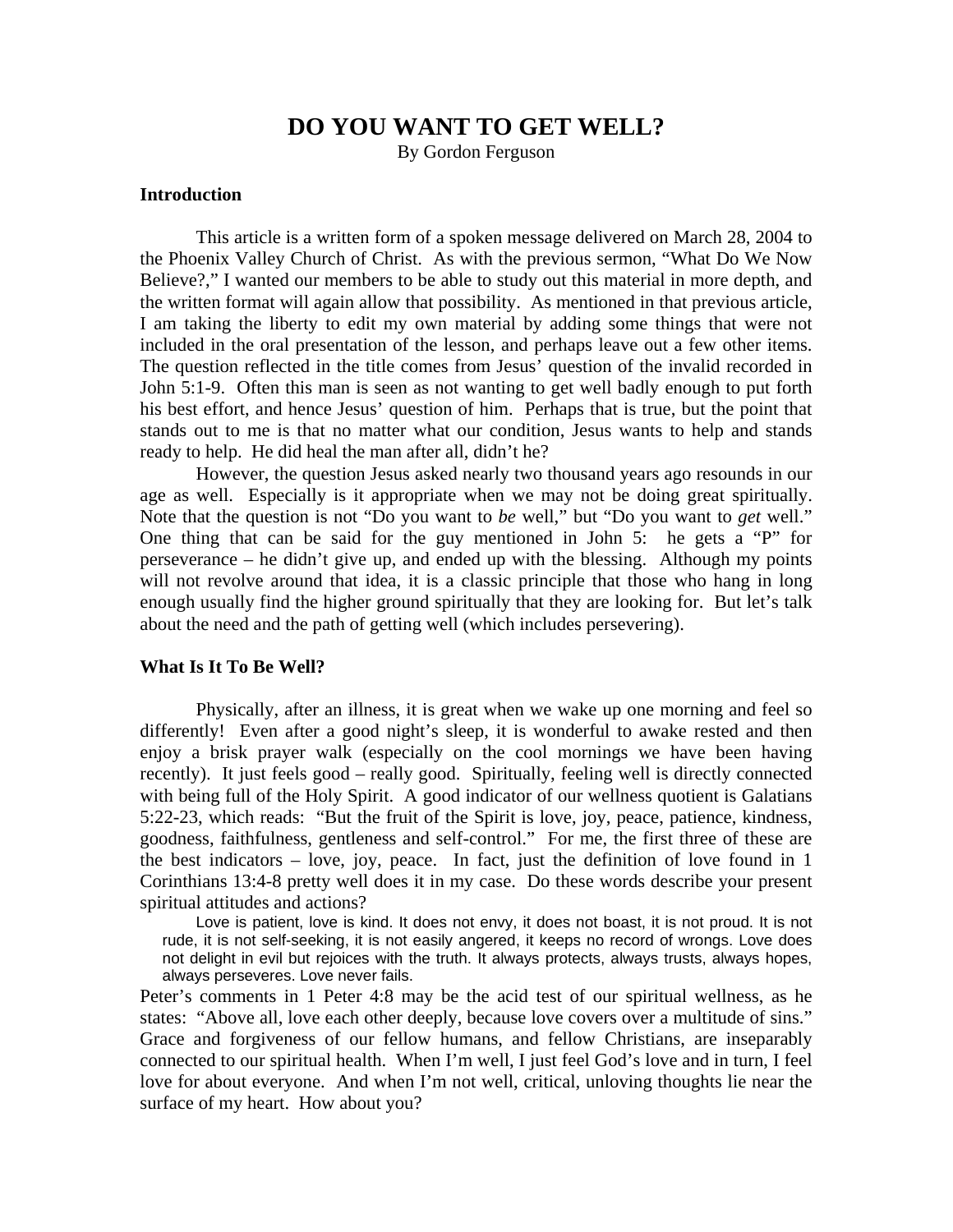# **DO YOU WANT TO GET WELL?**

By Gordon Ferguson

### **Introduction**

 This article is a written form of a spoken message delivered on March 28, 2004 to the Phoenix Valley Church of Christ. As with the previous sermon, "What Do We Now Believe?," I wanted our members to be able to study out this material in more depth, and the written format will again allow that possibility. As mentioned in that previous article, I am taking the liberty to edit my own material by adding some things that were not included in the oral presentation of the lesson, and perhaps leave out a few other items. The question reflected in the title comes from Jesus' question of the invalid recorded in John 5:1-9. Often this man is seen as not wanting to get well badly enough to put forth his best effort, and hence Jesus' question of him. Perhaps that is true, but the point that stands out to me is that no matter what our condition, Jesus wants to help and stands ready to help. He did heal the man after all, didn't he?

 However, the question Jesus asked nearly two thousand years ago resounds in our age as well. Especially is it appropriate when we may not be doing great spiritually. Note that the question is not "Do you want to *be* well," but "Do you want to *get* well." One thing that can be said for the guy mentioned in John 5: he gets a "P" for perseverance – he didn't give up, and ended up with the blessing. Although my points will not revolve around that idea, it is a classic principle that those who hang in long enough usually find the higher ground spiritually that they are looking for. But let's talk about the need and the path of getting well (which includes persevering).

#### **What Is It To Be Well?**

 Physically, after an illness, it is great when we wake up one morning and feel so differently! Even after a good night's sleep, it is wonderful to awake rested and then enjoy a brisk prayer walk (especially on the cool mornings we have been having recently). It just feels good – really good. Spiritually, feeling well is directly connected with being full of the Holy Spirit. A good indicator of our wellness quotient is Galatians 5:22-23, which reads: "But the fruit of the Spirit is love, joy, peace, patience, kindness, goodness, faithfulness, gentleness and self-control." For me, the first three of these are the best indicators – love, joy, peace. In fact, just the definition of love found in 1 Corinthians 13:4-8 pretty well does it in my case. Do these words describe your present spiritual attitudes and actions?

 Love is patient, love is kind. It does not envy, it does not boast, it is not proud. It is not rude, it is not self-seeking, it is not easily angered, it keeps no record of wrongs. Love does not delight in evil but rejoices with the truth. It always protects, always trusts, always hopes, always perseveres. Love never fails.

Peter's comments in 1 Peter 4:8 may be the acid test of our spiritual wellness, as he states: "Above all, love each other deeply, because love covers over a multitude of sins." Grace and forgiveness of our fellow humans, and fellow Christians, are inseparably connected to our spiritual health. When I'm well, I just feel God's love and in turn, I feel love for about everyone. And when I'm not well, critical, unloving thoughts lie near the surface of my heart. How about you?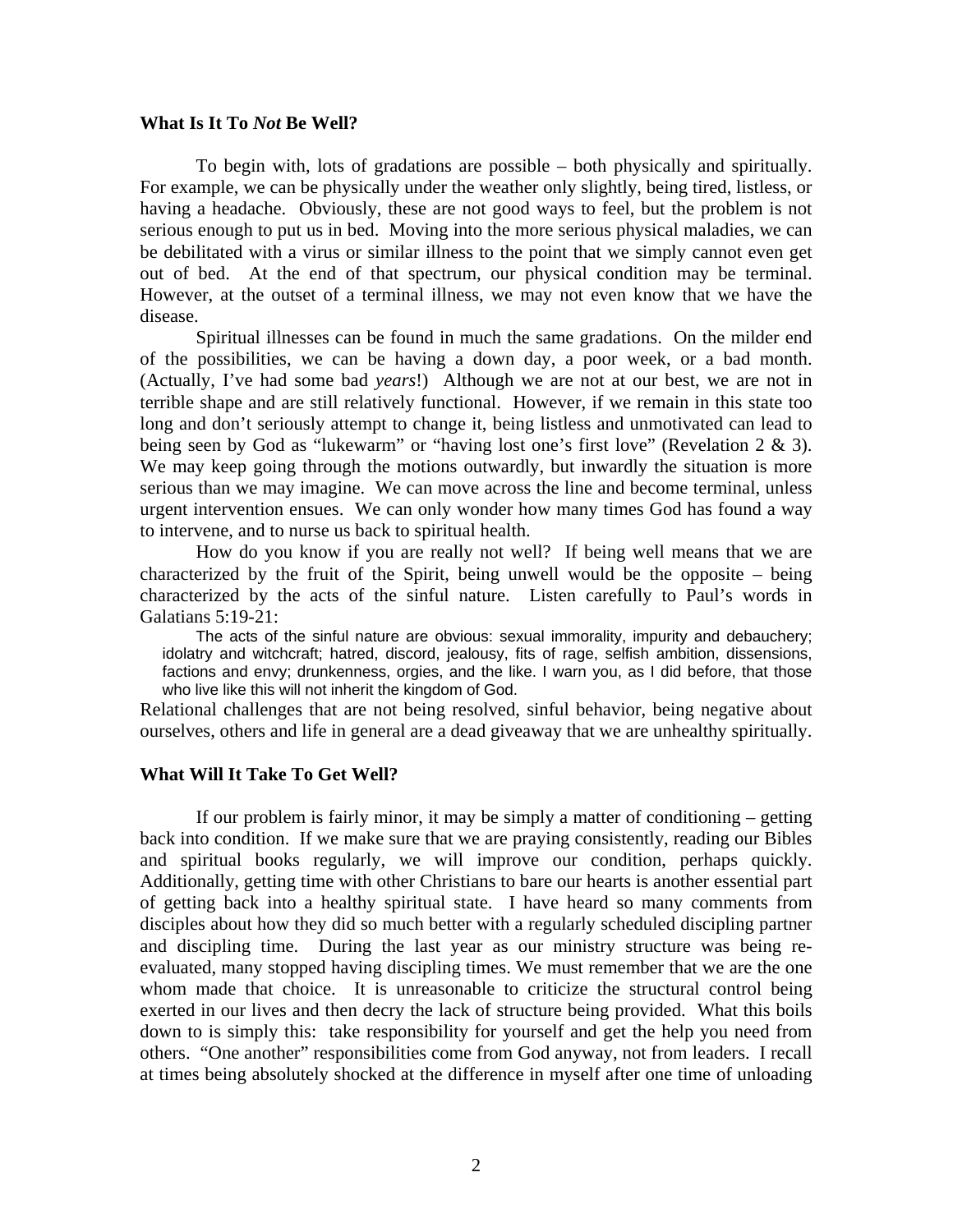#### **What Is It To** *Not* **Be Well?**

 To begin with, lots of gradations are possible – both physically and spiritually. For example, we can be physically under the weather only slightly, being tired, listless, or having a headache. Obviously, these are not good ways to feel, but the problem is not serious enough to put us in bed. Moving into the more serious physical maladies, we can be debilitated with a virus or similar illness to the point that we simply cannot even get out of bed. At the end of that spectrum, our physical condition may be terminal. However, at the outset of a terminal illness, we may not even know that we have the disease.

 Spiritual illnesses can be found in much the same gradations. On the milder end of the possibilities, we can be having a down day, a poor week, or a bad month. (Actually, I've had some bad *years*!) Although we are not at our best, we are not in terrible shape and are still relatively functional. However, if we remain in this state too long and don't seriously attempt to change it, being listless and unmotivated can lead to being seen by God as "lukewarm" or "having lost one's first love" (Revelation 2 & 3). We may keep going through the motions outwardly, but inwardly the situation is more serious than we may imagine. We can move across the line and become terminal, unless urgent intervention ensues. We can only wonder how many times God has found a way to intervene, and to nurse us back to spiritual health.

 How do you know if you are really not well? If being well means that we are characterized by the fruit of the Spirit, being unwell would be the opposite – being characterized by the acts of the sinful nature. Listen carefully to Paul's words in Galatians 5:19-21:

 The acts of the sinful nature are obvious: sexual immorality, impurity and debauchery; idolatry and witchcraft; hatred, discord, jealousy, fits of rage, selfish ambition, dissensions, factions and envy; drunkenness, orgies, and the like. I warn you, as I did before, that those who live like this will not inherit the kingdom of God.

Relational challenges that are not being resolved, sinful behavior, being negative about ourselves, others and life in general are a dead giveaway that we are unhealthy spiritually.

## **What Will It Take To Get Well?**

 If our problem is fairly minor, it may be simply a matter of conditioning – getting back into condition. If we make sure that we are praying consistently, reading our Bibles and spiritual books regularly, we will improve our condition, perhaps quickly. Additionally, getting time with other Christians to bare our hearts is another essential part of getting back into a healthy spiritual state. I have heard so many comments from disciples about how they did so much better with a regularly scheduled discipling partner and discipling time. During the last year as our ministry structure was being reevaluated, many stopped having discipling times. We must remember that we are the one whom made that choice. It is unreasonable to criticize the structural control being exerted in our lives and then decry the lack of structure being provided. What this boils down to is simply this: take responsibility for yourself and get the help you need from others. "One another" responsibilities come from God anyway, not from leaders. I recall at times being absolutely shocked at the difference in myself after one time of unloading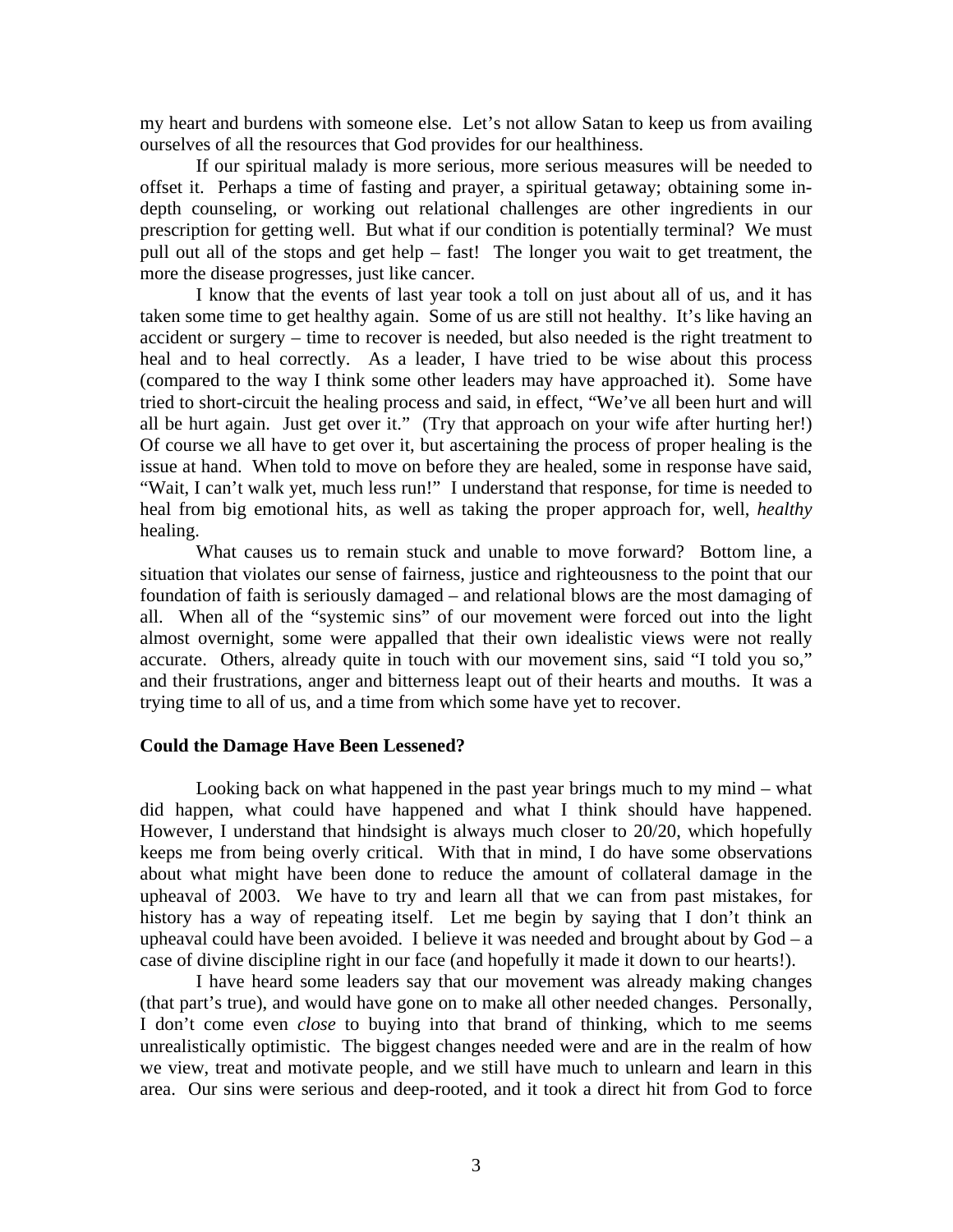my heart and burdens with someone else. Let's not allow Satan to keep us from availing ourselves of all the resources that God provides for our healthiness.

 If our spiritual malady is more serious, more serious measures will be needed to offset it. Perhaps a time of fasting and prayer, a spiritual getaway; obtaining some indepth counseling, or working out relational challenges are other ingredients in our prescription for getting well. But what if our condition is potentially terminal? We must pull out all of the stops and get help – fast! The longer you wait to get treatment, the more the disease progresses, just like cancer.

 I know that the events of last year took a toll on just about all of us, and it has taken some time to get healthy again. Some of us are still not healthy. It's like having an accident or surgery – time to recover is needed, but also needed is the right treatment to heal and to heal correctly. As a leader, I have tried to be wise about this process (compared to the way I think some other leaders may have approached it). Some have tried to short-circuit the healing process and said, in effect, "We've all been hurt and will all be hurt again. Just get over it." (Try that approach on your wife after hurting her!) Of course we all have to get over it, but ascertaining the process of proper healing is the issue at hand. When told to move on before they are healed, some in response have said, "Wait, I can't walk yet, much less run!" I understand that response, for time is needed to heal from big emotional hits, as well as taking the proper approach for, well, *healthy* healing.

 What causes us to remain stuck and unable to move forward? Bottom line, a situation that violates our sense of fairness, justice and righteousness to the point that our foundation of faith is seriously damaged – and relational blows are the most damaging of all. When all of the "systemic sins" of our movement were forced out into the light almost overnight, some were appalled that their own idealistic views were not really accurate. Others, already quite in touch with our movement sins, said "I told you so," and their frustrations, anger and bitterness leapt out of their hearts and mouths. It was a trying time to all of us, and a time from which some have yet to recover.

#### **Could the Damage Have Been Lessened?**

 Looking back on what happened in the past year brings much to my mind – what did happen, what could have happened and what I think should have happened. However, I understand that hindsight is always much closer to 20/20, which hopefully keeps me from being overly critical. With that in mind, I do have some observations about what might have been done to reduce the amount of collateral damage in the upheaval of 2003. We have to try and learn all that we can from past mistakes, for history has a way of repeating itself. Let me begin by saying that I don't think an upheaval could have been avoided. I believe it was needed and brought about by  $God - a$ case of divine discipline right in our face (and hopefully it made it down to our hearts!).

 I have heard some leaders say that our movement was already making changes (that part's true), and would have gone on to make all other needed changes. Personally, I don't come even *close* to buying into that brand of thinking, which to me seems unrealistically optimistic. The biggest changes needed were and are in the realm of how we view, treat and motivate people, and we still have much to unlearn and learn in this area. Our sins were serious and deep-rooted, and it took a direct hit from God to force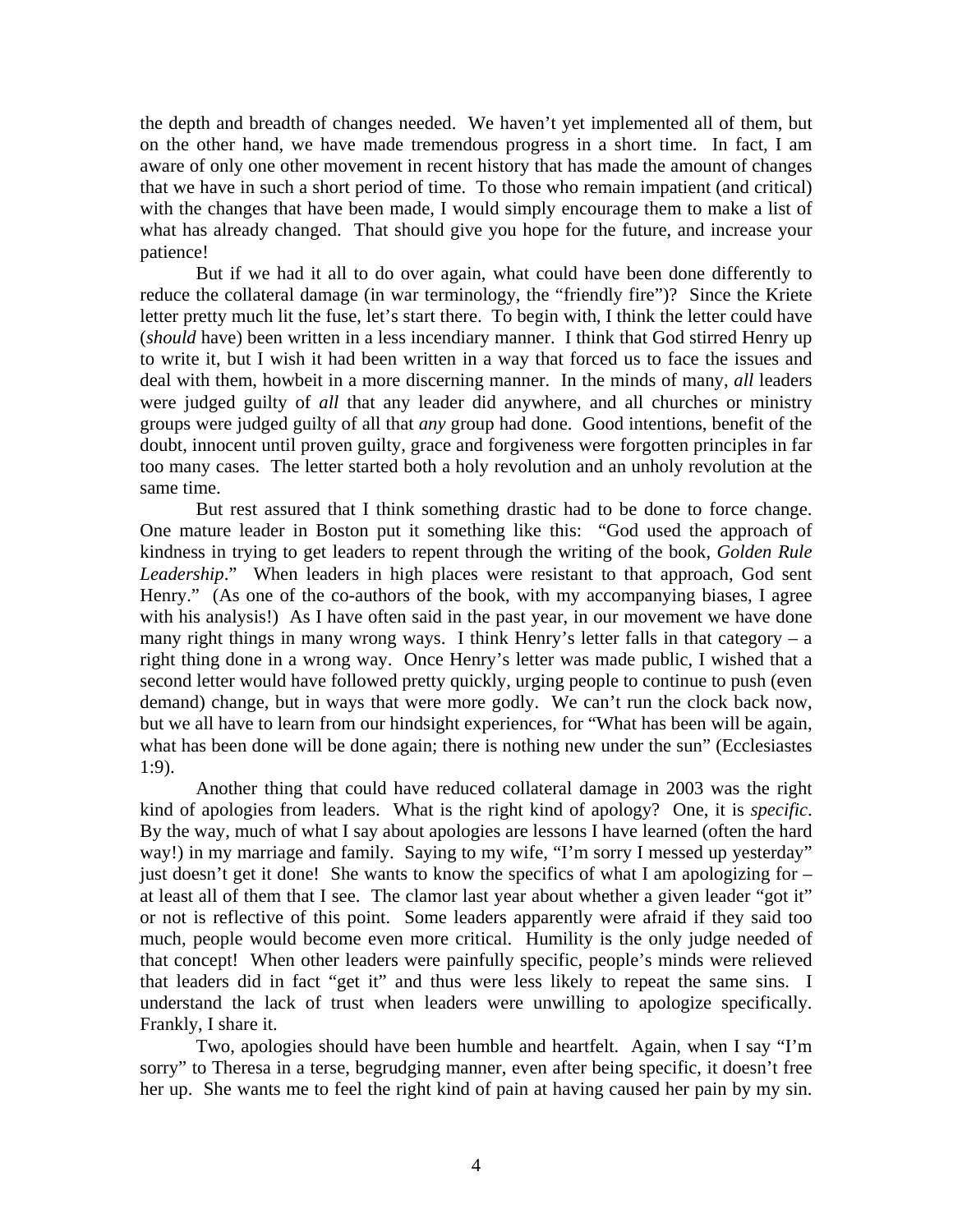the depth and breadth of changes needed. We haven't yet implemented all of them, but on the other hand, we have made tremendous progress in a short time. In fact, I am aware of only one other movement in recent history that has made the amount of changes that we have in such a short period of time. To those who remain impatient (and critical) with the changes that have been made, I would simply encourage them to make a list of what has already changed. That should give you hope for the future, and increase your patience!

 But if we had it all to do over again, what could have been done differently to reduce the collateral damage (in war terminology, the "friendly fire")? Since the Kriete letter pretty much lit the fuse, let's start there. To begin with, I think the letter could have (*should* have) been written in a less incendiary manner. I think that God stirred Henry up to write it, but I wish it had been written in a way that forced us to face the issues and deal with them, howbeit in a more discerning manner. In the minds of many, *all* leaders were judged guilty of *all* that any leader did anywhere, and all churches or ministry groups were judged guilty of all that *any* group had done. Good intentions, benefit of the doubt, innocent until proven guilty, grace and forgiveness were forgotten principles in far too many cases. The letter started both a holy revolution and an unholy revolution at the same time.

 But rest assured that I think something drastic had to be done to force change. One mature leader in Boston put it something like this: "God used the approach of kindness in trying to get leaders to repent through the writing of the book, *Golden Rule Leadership*." When leaders in high places were resistant to that approach, God sent Henry." (As one of the co-authors of the book, with my accompanying biases, I agree with his analysis!) As I have often said in the past year, in our movement we have done many right things in many wrong ways. I think Henry's letter falls in that category – a right thing done in a wrong way. Once Henry's letter was made public, I wished that a second letter would have followed pretty quickly, urging people to continue to push (even demand) change, but in ways that were more godly. We can't run the clock back now, but we all have to learn from our hindsight experiences, for "What has been will be again, what has been done will be done again; there is nothing new under the sun" (Ecclesiastes 1:9).

 Another thing that could have reduced collateral damage in 2003 was the right kind of apologies from leaders. What is the right kind of apology? One, it is *specific*. By the way, much of what I say about apologies are lessons I have learned (often the hard way!) in my marriage and family. Saying to my wife, "I'm sorry I messed up yesterday" just doesn't get it done! She wants to know the specifics of what I am apologizing for  $$ at least all of them that I see. The clamor last year about whether a given leader "got it" or not is reflective of this point. Some leaders apparently were afraid if they said too much, people would become even more critical. Humility is the only judge needed of that concept! When other leaders were painfully specific, people's minds were relieved that leaders did in fact "get it" and thus were less likely to repeat the same sins. I understand the lack of trust when leaders were unwilling to apologize specifically. Frankly, I share it.

 Two, apologies should have been humble and heartfelt. Again, when I say "I'm sorry" to Theresa in a terse, begrudging manner, even after being specific, it doesn't free her up. She wants me to feel the right kind of pain at having caused her pain by my sin.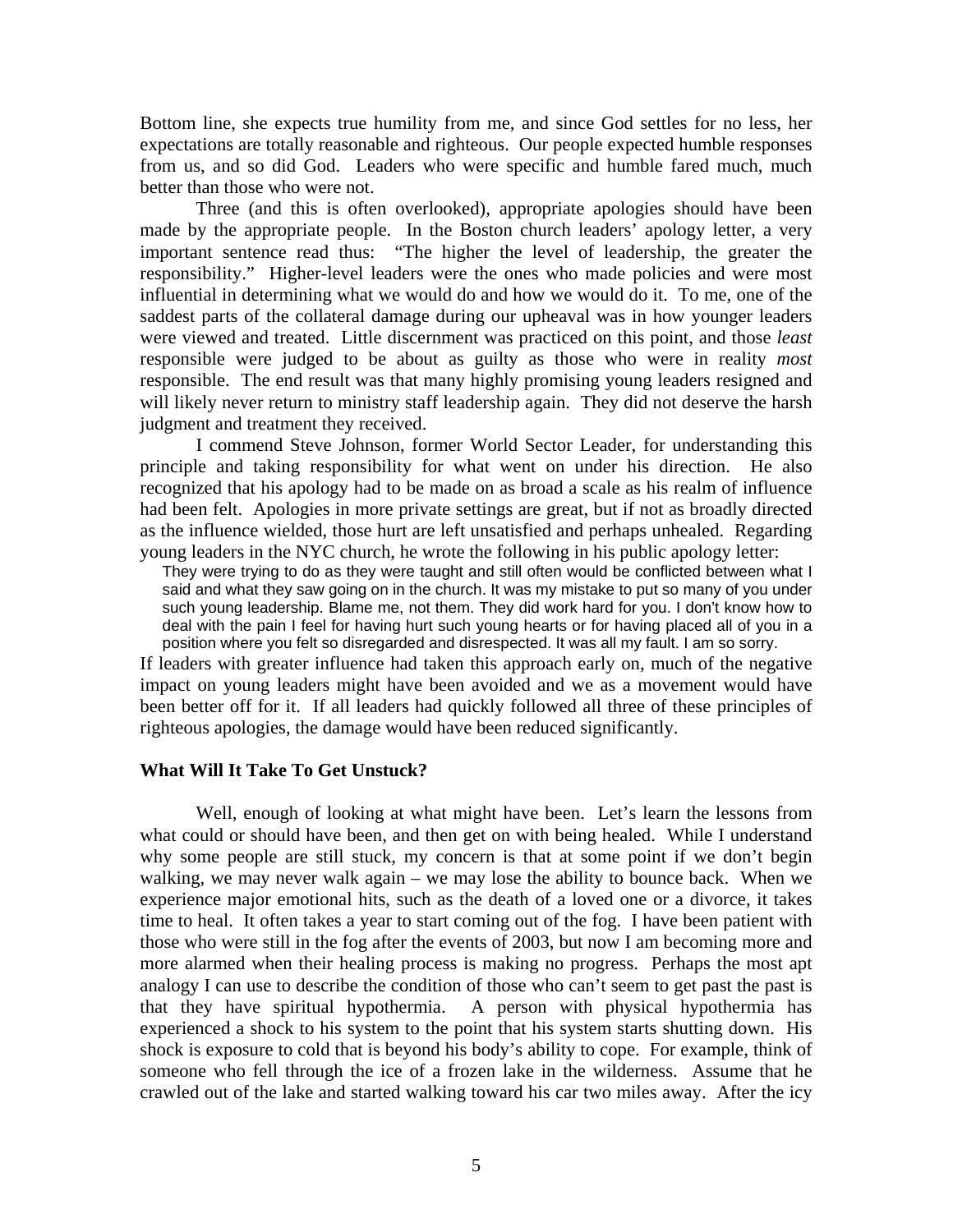Bottom line, she expects true humility from me, and since God settles for no less, her expectations are totally reasonable and righteous. Our people expected humble responses from us, and so did God. Leaders who were specific and humble fared much, much better than those who were not.

 Three (and this is often overlooked), appropriate apologies should have been made by the appropriate people. In the Boston church leaders' apology letter, a very important sentence read thus: "The higher the level of leadership, the greater the responsibility." Higher-level leaders were the ones who made policies and were most influential in determining what we would do and how we would do it. To me, one of the saddest parts of the collateral damage during our upheaval was in how younger leaders were viewed and treated. Little discernment was practiced on this point, and those *least* responsible were judged to be about as guilty as those who were in reality *most* responsible. The end result was that many highly promising young leaders resigned and will likely never return to ministry staff leadership again. They did not deserve the harsh judgment and treatment they received.

 I commend Steve Johnson, former World Sector Leader, for understanding this principle and taking responsibility for what went on under his direction. He also recognized that his apology had to be made on as broad a scale as his realm of influence had been felt. Apologies in more private settings are great, but if not as broadly directed as the influence wielded, those hurt are left unsatisfied and perhaps unhealed. Regarding young leaders in the NYC church, he wrote the following in his public apology letter:

They were trying to do as they were taught and still often would be conflicted between what I said and what they saw going on in the church. It was my mistake to put so many of you under such young leadership. Blame me, not them. They did work hard for you. I don't know how to deal with the pain I feel for having hurt such young hearts or for having placed all of you in a position where you felt so disregarded and disrespected. It was all my fault. I am so sorry.

If leaders with greater influence had taken this approach early on, much of the negative impact on young leaders might have been avoided and we as a movement would have been better off for it. If all leaders had quickly followed all three of these principles of righteous apologies, the damage would have been reduced significantly.

## **What Will It Take To Get Unstuck?**

 Well, enough of looking at what might have been. Let's learn the lessons from what could or should have been, and then get on with being healed. While I understand why some people are still stuck, my concern is that at some point if we don't begin walking, we may never walk again – we may lose the ability to bounce back. When we experience major emotional hits, such as the death of a loved one or a divorce, it takes time to heal. It often takes a year to start coming out of the fog. I have been patient with those who were still in the fog after the events of 2003, but now I am becoming more and more alarmed when their healing process is making no progress. Perhaps the most apt analogy I can use to describe the condition of those who can't seem to get past the past is that they have spiritual hypothermia. A person with physical hypothermia has experienced a shock to his system to the point that his system starts shutting down. His shock is exposure to cold that is beyond his body's ability to cope. For example, think of someone who fell through the ice of a frozen lake in the wilderness. Assume that he crawled out of the lake and started walking toward his car two miles away. After the icy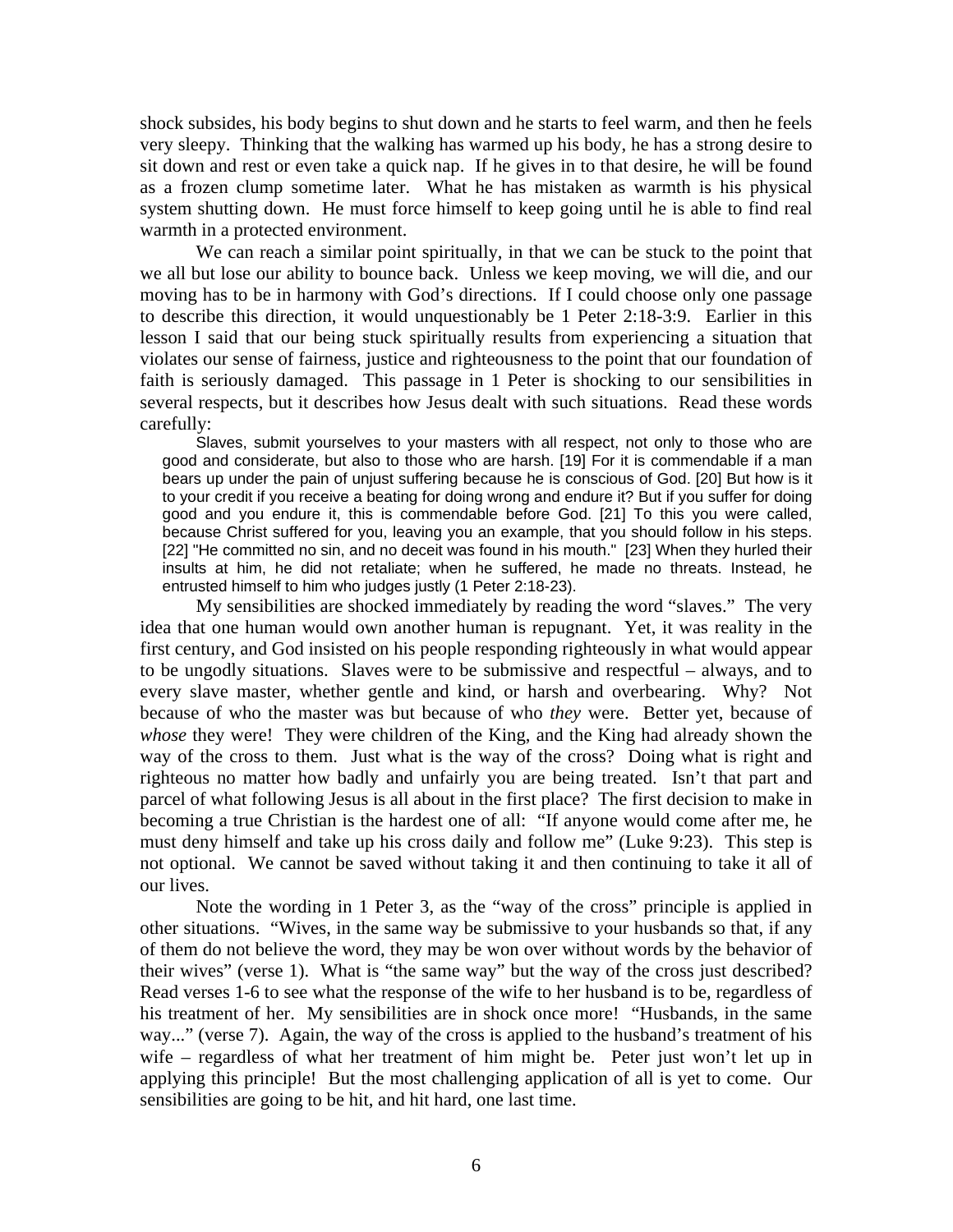shock subsides, his body begins to shut down and he starts to feel warm, and then he feels very sleepy. Thinking that the walking has warmed up his body, he has a strong desire to sit down and rest or even take a quick nap. If he gives in to that desire, he will be found as a frozen clump sometime later. What he has mistaken as warmth is his physical system shutting down. He must force himself to keep going until he is able to find real warmth in a protected environment.

We can reach a similar point spiritually, in that we can be stuck to the point that we all but lose our ability to bounce back. Unless we keep moving, we will die, and our moving has to be in harmony with God's directions. If I could choose only one passage to describe this direction, it would unquestionably be 1 Peter 2:18-3:9. Earlier in this lesson I said that our being stuck spiritually results from experiencing a situation that violates our sense of fairness, justice and righteousness to the point that our foundation of faith is seriously damaged. This passage in 1 Peter is shocking to our sensibilities in several respects, but it describes how Jesus dealt with such situations. Read these words carefully:

 Slaves, submit yourselves to your masters with all respect, not only to those who are good and considerate, but also to those who are harsh. [19] For it is commendable if a man bears up under the pain of unjust suffering because he is conscious of God. [20] But how is it to your credit if you receive a beating for doing wrong and endure it? But if you suffer for doing good and you endure it, this is commendable before God. [21] To this you were called, because Christ suffered for you, leaving you an example, that you should follow in his steps. [22] "He committed no sin, and no deceit was found in his mouth." [23] When they hurled their insults at him, he did not retaliate; when he suffered, he made no threats. Instead, he entrusted himself to him who judges justly (1 Peter 2:18-23).

 My sensibilities are shocked immediately by reading the word "slaves." The very idea that one human would own another human is repugnant. Yet, it was reality in the first century, and God insisted on his people responding righteously in what would appear to be ungodly situations. Slaves were to be submissive and respectful – always, and to every slave master, whether gentle and kind, or harsh and overbearing. Why? Not because of who the master was but because of who *they* were. Better yet, because of *whose* they were! They were children of the King, and the King had already shown the way of the cross to them. Just what is the way of the cross? Doing what is right and righteous no matter how badly and unfairly you are being treated. Isn't that part and parcel of what following Jesus is all about in the first place? The first decision to make in becoming a true Christian is the hardest one of all: "If anyone would come after me, he must deny himself and take up his cross daily and follow me" (Luke 9:23). This step is not optional. We cannot be saved without taking it and then continuing to take it all of our lives.

 Note the wording in 1 Peter 3, as the "way of the cross" principle is applied in other situations. "Wives, in the same way be submissive to your husbands so that, if any of them do not believe the word, they may be won over without words by the behavior of their wives" (verse 1). What is "the same way" but the way of the cross just described? Read verses 1-6 to see what the response of the wife to her husband is to be, regardless of his treatment of her. My sensibilities are in shock once more! "Husbands, in the same way..." (verse 7). Again, the way of the cross is applied to the husband's treatment of his wife – regardless of what her treatment of him might be. Peter just won't let up in applying this principle! But the most challenging application of all is yet to come. Our sensibilities are going to be hit, and hit hard, one last time.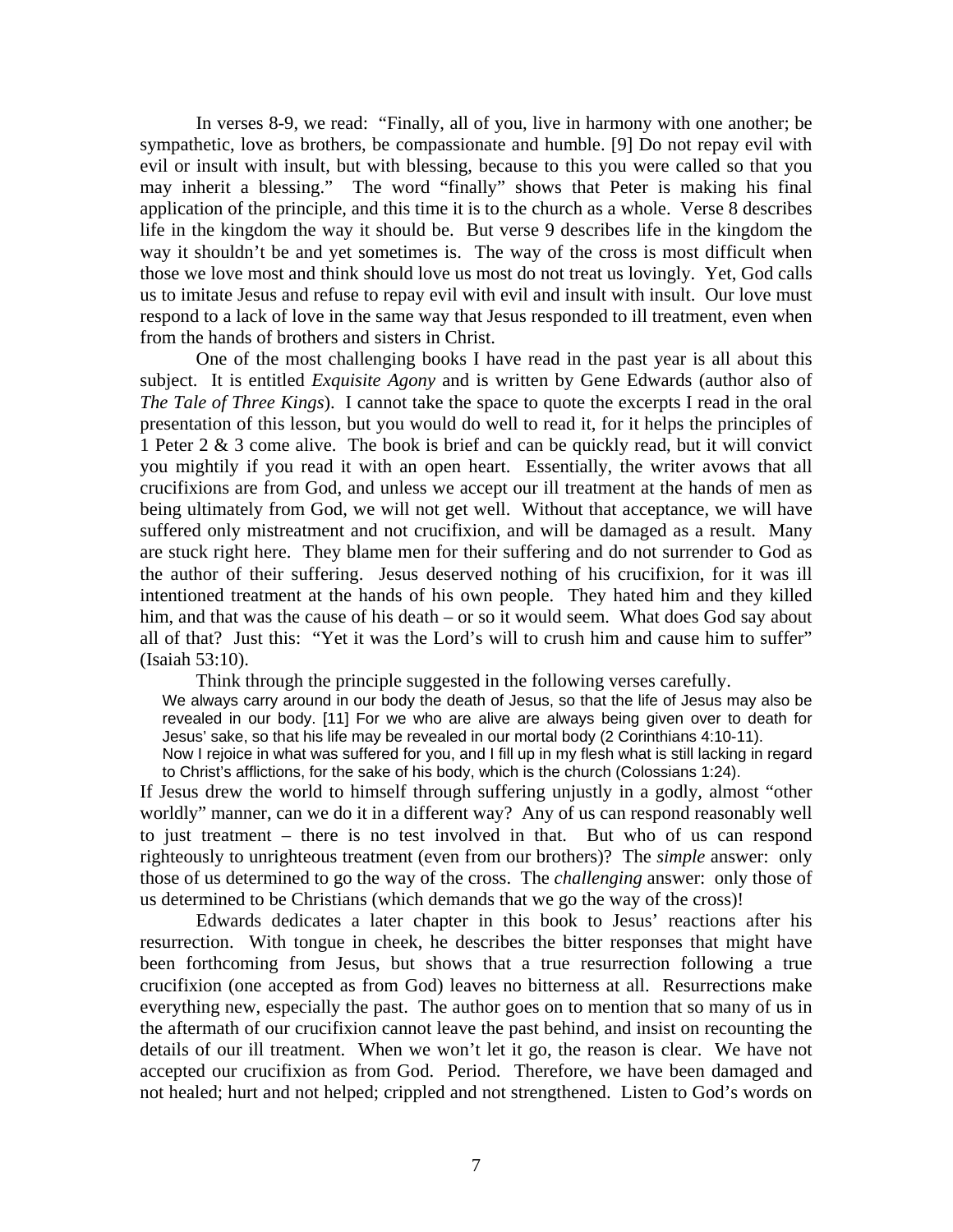In verses 8-9, we read: "Finally, all of you, live in harmony with one another; be sympathetic, love as brothers, be compassionate and humble. [9] Do not repay evil with evil or insult with insult, but with blessing, because to this you were called so that you may inherit a blessing." The word "finally" shows that Peter is making his final application of the principle, and this time it is to the church as a whole. Verse 8 describes life in the kingdom the way it should be. But verse 9 describes life in the kingdom the way it shouldn't be and yet sometimes is. The way of the cross is most difficult when those we love most and think should love us most do not treat us lovingly. Yet, God calls us to imitate Jesus and refuse to repay evil with evil and insult with insult. Our love must respond to a lack of love in the same way that Jesus responded to ill treatment, even when from the hands of brothers and sisters in Christ.

 One of the most challenging books I have read in the past year is all about this subject. It is entitled *Exquisite Agony* and is written by Gene Edwards (author also of *The Tale of Three Kings*). I cannot take the space to quote the excerpts I read in the oral presentation of this lesson, but you would do well to read it, for it helps the principles of 1 Peter 2 & 3 come alive. The book is brief and can be quickly read, but it will convict you mightily if you read it with an open heart. Essentially, the writer avows that all crucifixions are from God, and unless we accept our ill treatment at the hands of men as being ultimately from God, we will not get well. Without that acceptance, we will have suffered only mistreatment and not crucifixion, and will be damaged as a result. Many are stuck right here. They blame men for their suffering and do not surrender to God as the author of their suffering. Jesus deserved nothing of his crucifixion, for it was ill intentioned treatment at the hands of his own people. They hated him and they killed him, and that was the cause of his death – or so it would seem. What does God say about all of that? Just this: "Yet it was the Lord's will to crush him and cause him to suffer" (Isaiah 53:10).

Think through the principle suggested in the following verses carefully.

We always carry around in our body the death of Jesus, so that the life of Jesus may also be revealed in our body. [11] For we who are alive are always being given over to death for Jesus' sake, so that his life may be revealed in our mortal body (2 Corinthians 4:10-11).

Now I rejoice in what was suffered for you, and I fill up in my flesh what is still lacking in regard to Christ's afflictions, for the sake of his body, which is the church (Colossians 1:24).

If Jesus drew the world to himself through suffering unjustly in a godly, almost "other worldly" manner, can we do it in a different way? Any of us can respond reasonably well to just treatment – there is no test involved in that. But who of us can respond righteously to unrighteous treatment (even from our brothers)? The *simple* answer: only those of us determined to go the way of the cross. The *challenging* answer: only those of us determined to be Christians (which demands that we go the way of the cross)!

 Edwards dedicates a later chapter in this book to Jesus' reactions after his resurrection. With tongue in cheek, he describes the bitter responses that might have been forthcoming from Jesus, but shows that a true resurrection following a true crucifixion (one accepted as from God) leaves no bitterness at all. Resurrections make everything new, especially the past. The author goes on to mention that so many of us in the aftermath of our crucifixion cannot leave the past behind, and insist on recounting the details of our ill treatment. When we won't let it go, the reason is clear. We have not accepted our crucifixion as from God. Period. Therefore, we have been damaged and not healed; hurt and not helped; crippled and not strengthened. Listen to God's words on